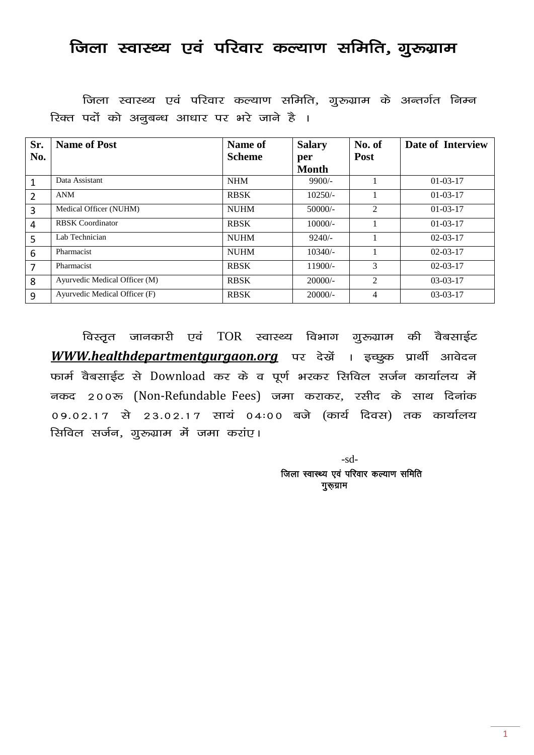## जिला स्वास्थ्य एवं परिवार कल्याण समिति, गुरुग्राम

जिला स्वास्थ्य एवं परिवार कल्याण समिति, गुरुग्राम के अन्तर्गत निम्न रिक्त पदों को अनुबन्ध आधार पर भरे जाने है ।

| Sr.<br>No. | <b>Name of Post</b>           | Name of<br><b>Scheme</b> | <b>Salary</b><br>per<br><b>Month</b> | No. of<br><b>Post</b> | Date of Interview |
|------------|-------------------------------|--------------------------|--------------------------------------|-----------------------|-------------------|
| 1          | Data Assistant                | <b>NHM</b>               | $9900/-$                             |                       | $01-03-17$        |
| 2          | <b>ANM</b>                    | <b>RBSK</b>              | $10250/-$                            |                       | $01 - 03 - 17$    |
| 3          | Medical Officer (NUHM)        | <b>NUHM</b>              | $50000/-$                            | 2                     | $01-03-17$        |
| 4          | <b>RBSK</b> Coordinator       | <b>RBSK</b>              | $10000/-$                            |                       | $01 - 03 - 17$    |
| 5          | Lab Technician                | <b>NUHM</b>              | $9240/-$                             |                       | $02-03-17$        |
| 6          | Pharmacist                    | <b>NUHM</b>              | $10340/-$                            |                       | $02-03-17$        |
| 7          | Pharmacist                    | <b>RBSK</b>              | $11900/-$                            | 3                     | $02-03-17$        |
| 8          | Ayurvedic Medical Officer (M) | <b>RBSK</b>              | $20000/-$                            | 2                     | $03-03-17$        |
| 9          | Ayurvedic Medical Officer (F) | <b>RBSK</b>              | $20000/-$                            | 4                     | $03-03-17$        |

विस्तृत जानकारी एवं TOR स्वास्थ्य विभाग गुरुग्राम की वैबसाईट WWW.healthdepartmentgurgaon.org पर देखें । इच्छ्क प्रार्थी आवेदन फार्म वैबसाईट से Download कर के व पूर्ण भरकर सिविल सर्जन कार्यालय में नकद 200रू (Non-Refundable Fees) जमा कराकर, रसीद के साथ दिनांक 09.02.17 से 23.02.17 सायं 04:00 बजे (कार्य दिवस) तक कार्यालय सिविल सर्जन, गुरुग्राम में जमा करांए।

> -sd- जिला स्वास्थ्य एवं परिवार कल्याण समिति गुरूग्राम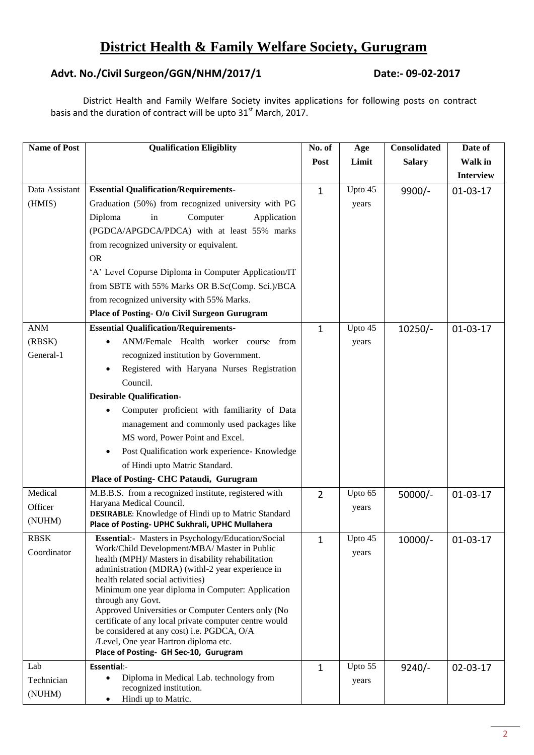## **District Health & Family Welfare Society, Gurugram**

### **Advt. No./Civil Surgeon/GGN/NHM/2017/1 Date:- 09-02-2017**

District Health and Family Welfare Society invites applications for following posts on contract basis and the duration of contract will be upto 31<sup>st</sup> March, 2017.

| <b>Name of Post</b> | <b>Qualification Eligiblity</b>                                                                               | No. of         | Age     | <b>Consolidated</b> | Date of          |
|---------------------|---------------------------------------------------------------------------------------------------------------|----------------|---------|---------------------|------------------|
|                     |                                                                                                               | Post           | Limit   | <b>Salary</b>       | Walk in          |
|                     |                                                                                                               |                |         |                     | <b>Interview</b> |
| Data Assistant      | <b>Essential Qualification/Requirements-</b>                                                                  | $\mathbf{1}$   | Upto 45 | $9900/-$            | $01-03-17$       |
| (HMIS)              | Graduation (50%) from recognized university with PG                                                           |                | years   |                     |                  |
|                     | Diploma<br>Computer<br>in<br>Application                                                                      |                |         |                     |                  |
|                     | (PGDCA/APGDCA/PDCA) with at least 55% marks                                                                   |                |         |                     |                  |
|                     | from recognized university or equivalent.                                                                     |                |         |                     |                  |
|                     | <b>OR</b>                                                                                                     |                |         |                     |                  |
|                     | 'A' Level Copurse Diploma in Computer Application/IT                                                          |                |         |                     |                  |
|                     | from SBTE with 55% Marks OR B.Sc(Comp. Sci.)/BCA                                                              |                |         |                     |                  |
|                     | from recognized university with 55% Marks.                                                                    |                |         |                     |                  |
|                     | Place of Posting- O/o Civil Surgeon Gurugram                                                                  |                |         |                     |                  |
| <b>ANM</b>          | <b>Essential Qualification/Requirements-</b>                                                                  | $\mathbf{1}$   | Upto 45 | $10250/-$           | $01-03-17$       |
| (RBSK)              | ANM/Female Health worker course<br>from                                                                       |                | years   |                     |                  |
| General-1           | recognized institution by Government.                                                                         |                |         |                     |                  |
|                     | Registered with Haryana Nurses Registration                                                                   |                |         |                     |                  |
|                     | Council.                                                                                                      |                |         |                     |                  |
|                     | <b>Desirable Qualification-</b>                                                                               |                |         |                     |                  |
|                     | Computer proficient with familiarity of Data                                                                  |                |         |                     |                  |
|                     | management and commonly used packages like                                                                    |                |         |                     |                  |
|                     | MS word, Power Point and Excel.                                                                               |                |         |                     |                  |
|                     | Post Qualification work experience- Knowledge<br>$\bullet$                                                    |                |         |                     |                  |
|                     | of Hindi upto Matric Standard.                                                                                |                |         |                     |                  |
|                     | Place of Posting- CHC Pataudi, Gurugram                                                                       |                |         |                     |                  |
| Medical             | M.B.B.S. from a recognized institute, registered with                                                         | $\overline{2}$ | Upto 65 | $50000/-$           | $01-03-17$       |
| Officer             | Haryana Medical Council.                                                                                      |                | years   |                     |                  |
| (NUHM)              | <b>DESIRABLE:</b> Knowledge of Hindi up to Matric Standard<br>Place of Posting- UPHC Sukhrali, UPHC Mullahera |                |         |                     |                  |
| <b>RBSK</b>         | Essential:- Masters in Psychology/Education/Social                                                            | 1              | Upto 45 | $10000/-$           | $01-03-17$       |
| Coordinator         | Work/Child Development/MBA/ Master in Public                                                                  |                | years   |                     |                  |
|                     | health (MPH)/ Masters in disability rehabilitation<br>administration (MDRA) (withl-2 year experience in       |                |         |                     |                  |
|                     | health related social activities)                                                                             |                |         |                     |                  |
|                     | Minimum one year diploma in Computer: Application                                                             |                |         |                     |                  |
|                     | through any Govt.                                                                                             |                |         |                     |                  |
|                     | Approved Universities or Computer Centers only (No<br>certificate of any local private computer centre would  |                |         |                     |                  |
|                     | be considered at any cost) i.e. PGDCA, O/A                                                                    |                |         |                     |                  |
|                     | /Level, One year Hartron diploma etc.                                                                         |                |         |                     |                  |
|                     | Place of Posting- GH Sec-10, Gurugram                                                                         |                |         |                     |                  |
| Lab                 | Essential:-<br>Diploma in Medical Lab. technology from<br>$\bullet$                                           | $\mathbf{1}$   | Upto 55 | $9240/-$            | $02 - 03 - 17$   |
| Technician          | recognized institution.                                                                                       |                | years   |                     |                  |
| (NUHM)              | Hindi up to Matric.<br>$\bullet$                                                                              |                |         |                     |                  |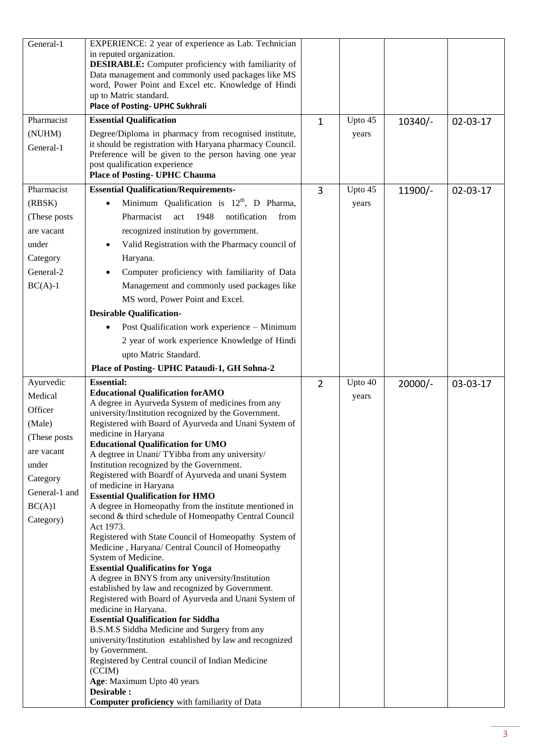| General-1     | EXPERIENCE: 2 year of experience as Lab. Technician<br>in reputed organization.<br><b>DESIRABLE:</b> Computer proficiency with familiarity of<br>Data management and commonly used packages like MS<br>word, Power Point and Excel etc. Knowledge of Hindi<br>up to Matric standard.<br>Place of Posting- UPHC Sukhrali |                |         |           |                |
|---------------|-------------------------------------------------------------------------------------------------------------------------------------------------------------------------------------------------------------------------------------------------------------------------------------------------------------------------|----------------|---------|-----------|----------------|
| Pharmacist    | <b>Essential Qualification</b>                                                                                                                                                                                                                                                                                          | $\mathbf{1}$   | Upto 45 | $10340/-$ | $02 - 03 - 17$ |
| (NUHM)        | Degree/Diploma in pharmacy from recognised institute,                                                                                                                                                                                                                                                                   |                | years   |           |                |
| General-1     | it should be registration with Haryana pharmacy Council.                                                                                                                                                                                                                                                                |                |         |           |                |
|               | Preference will be given to the person having one year<br>post qualification experience<br><b>Place of Posting- UPHC Chauma</b>                                                                                                                                                                                         |                |         |           |                |
| Pharmacist    |                                                                                                                                                                                                                                                                                                                         |                |         |           |                |
|               | <b>Essential Qualification/Requirements-</b>                                                                                                                                                                                                                                                                            | 3              | Upto 45 | $11900/-$ | $02 - 03 - 17$ |
| (RBSK)        | Minimum Qualification is $12th$ , D Pharma,                                                                                                                                                                                                                                                                             |                | years   |           |                |
| (These posts) | Pharmacist<br>1948<br>notification<br>act<br>from                                                                                                                                                                                                                                                                       |                |         |           |                |
| are vacant    | recognized institution by government.                                                                                                                                                                                                                                                                                   |                |         |           |                |
| under         | Valid Registration with the Pharmacy council of                                                                                                                                                                                                                                                                         |                |         |           |                |
| Category      | Haryana.                                                                                                                                                                                                                                                                                                                |                |         |           |                |
| General-2     | Computer proficiency with familiarity of Data                                                                                                                                                                                                                                                                           |                |         |           |                |
| $BC(A)-1$     | Management and commonly used packages like                                                                                                                                                                                                                                                                              |                |         |           |                |
|               | MS word, Power Point and Excel.                                                                                                                                                                                                                                                                                         |                |         |           |                |
|               | <b>Desirable Qualification-</b>                                                                                                                                                                                                                                                                                         |                |         |           |                |
|               | Post Qualification work experience - Minimum                                                                                                                                                                                                                                                                            |                |         |           |                |
|               | 2 year of work experience Knowledge of Hindi                                                                                                                                                                                                                                                                            |                |         |           |                |
|               | upto Matric Standard.                                                                                                                                                                                                                                                                                                   |                |         |           |                |
|               | Place of Posting- UPHC Pataudi-1, GH Sohna-2                                                                                                                                                                                                                                                                            |                |         |           |                |
|               |                                                                                                                                                                                                                                                                                                                         |                |         |           |                |
|               |                                                                                                                                                                                                                                                                                                                         |                |         |           |                |
| Ayurvedic     | <b>Essential:</b><br><b>Educational Qualification for AMO</b>                                                                                                                                                                                                                                                           | $\overline{2}$ | Upto 40 | $20000/-$ | 03-03-17       |
| Medical       | A degree in Ayurveda System of medicines from any                                                                                                                                                                                                                                                                       |                | years   |           |                |
| Officer       | university/Institution recognized by the Government.                                                                                                                                                                                                                                                                    |                |         |           |                |
| (Male)        | Registered with Board of Ayurveda and Unani System of                                                                                                                                                                                                                                                                   |                |         |           |                |
| (These posts  | medicine in Haryana<br><b>Educational Qualification for UMO</b>                                                                                                                                                                                                                                                         |                |         |           |                |
| are vacant    | A degtree in Unani/TYibba from any university/                                                                                                                                                                                                                                                                          |                |         |           |                |
| under         | Institution recognized by the Government.                                                                                                                                                                                                                                                                               |                |         |           |                |
| Category      | Registered with Boardf of Ayurveda and unani System                                                                                                                                                                                                                                                                     |                |         |           |                |
| General-1 and | of medicine in Haryana<br><b>Essential Qualification for HMO</b>                                                                                                                                                                                                                                                        |                |         |           |                |
| BC(A)1        | A degree in Homeopathy from the institute mentioned in                                                                                                                                                                                                                                                                  |                |         |           |                |
| Category)     | second & third schedule of Homeopathy Central Council                                                                                                                                                                                                                                                                   |                |         |           |                |
|               | Act 1973.                                                                                                                                                                                                                                                                                                               |                |         |           |                |
|               | Registered with State Council of Homeopathy System of<br>Medicine, Haryana/ Central Council of Homeopathy                                                                                                                                                                                                               |                |         |           |                |
|               | System of Medicine.                                                                                                                                                                                                                                                                                                     |                |         |           |                |
|               | <b>Essential Qualificatins for Yoga</b>                                                                                                                                                                                                                                                                                 |                |         |           |                |
|               | A degree in BNYS from any university/Institution                                                                                                                                                                                                                                                                        |                |         |           |                |
|               | established by law and recognized by Government.<br>Registered with Board of Ayurveda and Unani System of                                                                                                                                                                                                               |                |         |           |                |
|               | medicine in Haryana.                                                                                                                                                                                                                                                                                                    |                |         |           |                |
|               | <b>Essential Qualification for Siddha</b>                                                                                                                                                                                                                                                                               |                |         |           |                |
|               | B.S.M.S Siddha Medicine and Surgery from any<br>university/Institution established by law and recognized                                                                                                                                                                                                                |                |         |           |                |
|               | by Government.                                                                                                                                                                                                                                                                                                          |                |         |           |                |
|               | Registered by Central council of Indian Medicine                                                                                                                                                                                                                                                                        |                |         |           |                |
|               | (CCIM)                                                                                                                                                                                                                                                                                                                  |                |         |           |                |
|               | Age: Maximum Upto 40 years<br>Desirable :                                                                                                                                                                                                                                                                               |                |         |           |                |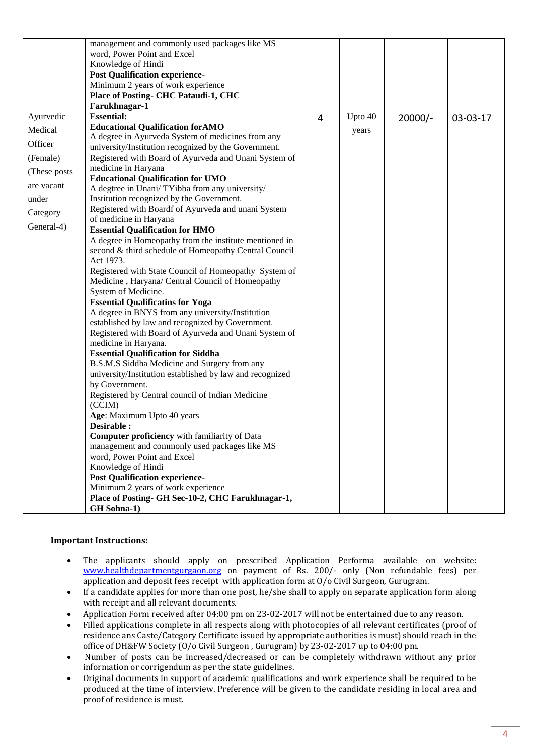|               | management and commonly used packages like MS                               |   |         |           |          |
|---------------|-----------------------------------------------------------------------------|---|---------|-----------|----------|
|               | word, Power Point and Excel                                                 |   |         |           |          |
|               | Knowledge of Hindi                                                          |   |         |           |          |
|               | <b>Post Qualification experience-</b>                                       |   |         |           |          |
|               | Minimum 2 years of work experience                                          |   |         |           |          |
|               | <b>Place of Posting- CHC Pataudi-1, CHC</b>                                 |   |         |           |          |
|               | Farukhnagar-1                                                               |   |         |           |          |
| Ayurvedic     | <b>Essential:</b>                                                           | 4 | Upto 40 | $20000/-$ | 03-03-17 |
| Medical       | <b>Educational Qualification for AMO</b>                                    |   | years   |           |          |
| Officer       | A degree in Ayurveda System of medicines from any                           |   |         |           |          |
|               | university/Institution recognized by the Government.                        |   |         |           |          |
| (Female)      | Registered with Board of Ayurveda and Unani System of                       |   |         |           |          |
| (These posts) | medicine in Haryana                                                         |   |         |           |          |
| are vacant    | <b>Educational Qualification for UMO</b>                                    |   |         |           |          |
|               | A degtree in Unani/TYibba from any university/                              |   |         |           |          |
| under         | Institution recognized by the Government.                                   |   |         |           |          |
| Category      | Registered with Boardf of Ayurveda and unani System                         |   |         |           |          |
| General-4)    | of medicine in Haryana<br><b>Essential Qualification for HMO</b>            |   |         |           |          |
|               | A degree in Homeopathy from the institute mentioned in                      |   |         |           |          |
|               | second & third schedule of Homeopathy Central Council                       |   |         |           |          |
|               | Act 1973.                                                                   |   |         |           |          |
|               | Registered with State Council of Homeopathy System of                       |   |         |           |          |
|               | Medicine, Haryana/ Central Council of Homeopathy                            |   |         |           |          |
|               | System of Medicine.                                                         |   |         |           |          |
|               | <b>Essential Qualificatins for Yoga</b>                                     |   |         |           |          |
|               | A degree in BNYS from any university/Institution                            |   |         |           |          |
|               | established by law and recognized by Government.                            |   |         |           |          |
|               | Registered with Board of Ayurveda and Unani System of                       |   |         |           |          |
|               | medicine in Haryana.                                                        |   |         |           |          |
|               | <b>Essential Qualification for Siddha</b>                                   |   |         |           |          |
|               | B.S.M.S Siddha Medicine and Surgery from any                                |   |         |           |          |
|               | university/Institution established by law and recognized                    |   |         |           |          |
|               | by Government.                                                              |   |         |           |          |
|               | Registered by Central council of Indian Medicine                            |   |         |           |          |
|               | (CCIM)                                                                      |   |         |           |          |
|               | Age: Maximum Upto 40 years                                                  |   |         |           |          |
|               | Desirable :                                                                 |   |         |           |          |
|               | <b>Computer proficiency</b> with familiarity of Data                        |   |         |           |          |
|               | management and commonly used packages like MS                               |   |         |           |          |
|               | word, Power Point and Excel                                                 |   |         |           |          |
|               | Knowledge of Hindi                                                          |   |         |           |          |
|               | <b>Post Qualification experience-</b><br>Minimum 2 years of work experience |   |         |           |          |
|               | Place of Posting- GH Sec-10-2, CHC Farukhnagar-1,                           |   |         |           |          |
|               | <b>GH</b> Sohna-1)                                                          |   |         |           |          |
|               |                                                                             |   |         |           |          |

#### **Important Instructions:**

- The applicants should apply on prescribed Application Performa available on website: [www.healthdepartmentgurgaon.org](http://www.healthdepartmentgurgaon.org/) on payment of Rs. 200/- only (Non refundable fees) per application and deposit fees receipt with application form at O/o Civil Surgeon, Gurugram.
- If a candidate applies for more than one post, he/she shall to apply on separate application form along with receipt and all relevant documents.
- Application Form received after 04:00 pm on 23-02-2017 will not be entertained due to any reason.
- Filled applications complete in all respects along with photocopies of all relevant certificates (proof of residence ans Caste/Category Certificate issued by appropriate authorities is must) should reach in the office of DH&FW Society (O/o Civil Surgeon , Gurugram) by 23-02-2017 up to 04:00 pm.
- Number of posts can be increased/decreased or can be completely withdrawn without any prior information or corrigendum as per the state guidelines.
- Original documents in support of academic qualifications and work experience shall be required to be produced at the time of interview. Preference will be given to the candidate residing in local area and proof of residence is must.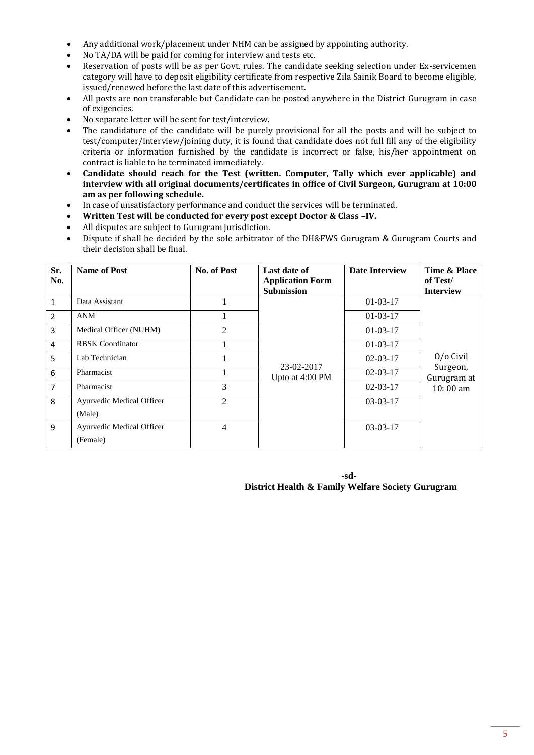- Any additional work/placement under NHM can be assigned by appointing authority.
- No TA/DA will be paid for coming for interview and tests etc.
- Reservation of posts will be as per Govt. rules. The candidate seeking selection under Ex-servicemen category will have to deposit eligibility certificate from respective Zila Sainik Board to become eligible, issued/renewed before the last date of this advertisement.
- All posts are non transferable but Candidate can be posted anywhere in the District Gurugram in case of exigencies.
- No separate letter will be sent for test/interview.
- The candidature of the candidate will be purely provisional for all the posts and will be subject to test/computer/interview/joining duty, it is found that candidate does not full fill any of the eligibility criteria or information furnished by the candidate is incorrect or false, his/her appointment on contract is liable to be terminated immediately.
- **Candidate should reach for the Test (written. Computer, Tally which ever applicable) and interview with all original documents/certificates in office of Civil Surgeon, Gurugram at 10:00 am as per following schedule.**
- In case of unsatisfactory performance and conduct the services will be terminated.
- **Written Test will be conducted for every post except Doctor & Class –IV.**
- All disputes are subject to Gurugram jurisdiction.
- Dispute if shall be decided by the sole arbitrator of the DH&FWS Gurugram & Gurugram Courts and their decision shall be final.

| Sr.<br>No.   | <b>Name of Post</b>              | No. of Post    | Last date of<br><b>Application Form</b><br><b>Submission</b> | <b>Date Interview</b> | Time & Place<br>of Test/<br><b>Interview</b> |
|--------------|----------------------------------|----------------|--------------------------------------------------------------|-----------------------|----------------------------------------------|
| $\mathbf{1}$ | Data Assistant                   |                |                                                              | $01-03-17$            |                                              |
| 2            | <b>ANM</b>                       |                |                                                              | $01-03-17$            |                                              |
| 3            | Medical Officer (NUHM)           | $\overline{2}$ |                                                              | $01-03-17$            |                                              |
| 4            | <b>RBSK</b> Coordinator          |                |                                                              | $01-03-17$            |                                              |
| 5            | Lab Technician                   |                |                                                              | $02 - 03 - 17$        | 0/o Civil                                    |
| 6            | Pharmacist                       | 1              | 23-02-2017<br>Upto at 4:00 PM                                | $02 - 03 - 17$        | Surgeon,<br>Gurugram at                      |
| 7            | Pharmacist                       | 3              |                                                              | $02 - 03 - 17$        | $10:00$ am                                   |
| 8            | Ayurvedic Medical Officer        | $\overline{2}$ |                                                              | $03-03-17$            |                                              |
|              | (Male)                           |                |                                                              |                       |                                              |
| 9            | <b>Ayurvedic Medical Officer</b> | 4              |                                                              | $03-03-17$            |                                              |
|              | (Female)                         |                |                                                              |                       |                                              |

**-sd-District Health & Family Welfare Society Gurugram**